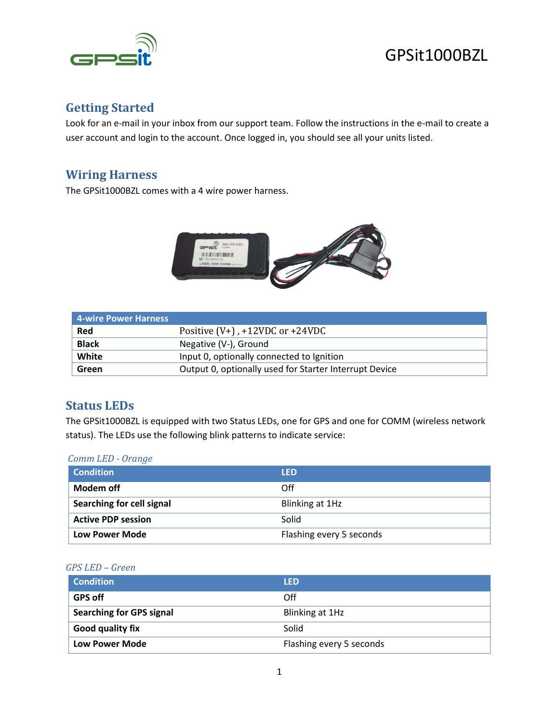

# GPSit1000BZL

# **Getting Started**

Look for an e-mail in your inbox from our support team. Follow the instructions in the e-mail to create a user account and login to the account. Once logged in, you should see all your units listed.

## **Wiring Harness**

The GPSit1000BZL comes with a 4 wire power harness.



| 4-wire Power Harness |                                                        |
|----------------------|--------------------------------------------------------|
| Red                  | Positive $(V+)$ , $+12VDC$ or $+24VDC$                 |
| <b>Black</b>         | Negative (V-), Ground                                  |
| White                | Input 0, optionally connected to Ignition              |
| Green                | Output 0, optionally used for Starter Interrupt Device |

## **Status LEDs**

The GPSit1000BZL is equipped with two Status LEDs, one for GPS and one for COMM (wireless network status). The LEDs use the following blink patterns to indicate service:

#### *Comm LED - Orange*

| <b>Condition</b>          | <b>LED</b>               |
|---------------------------|--------------------------|
| Modem off                 | Off                      |
| Searching for cell signal | Blinking at 1Hz          |
| <b>Active PDP session</b> | Solid                    |
| Low Power Mode            | Flashing every 5 seconds |

#### *GPS LED – Green*

| <b>Condition</b>                | <b>LED</b>               |
|---------------------------------|--------------------------|
| <b>GPS off</b>                  | Off                      |
| <b>Searching for GPS signal</b> | Blinking at 1Hz          |
| Good quality fix                | Solid                    |
| <b>Low Power Mode</b>           | Flashing every 5 seconds |